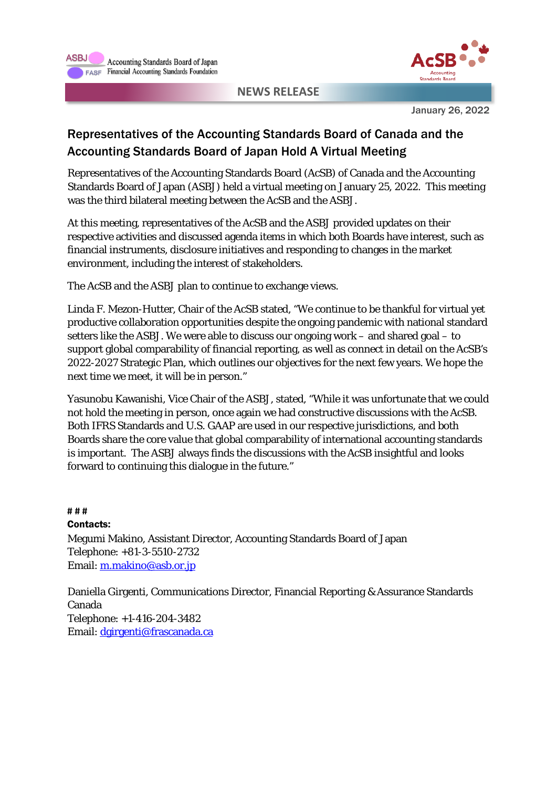



January 26, 2022

## Representatives of the Accounting Standards Board of Canada and the Accounting Standards Board of Japan Hold A Virtual Meeting

Representatives of the Accounting Standards Board (AcSB) of Canada and the Accounting Standards Board of Japan (ASBJ) held a virtual meeting on January 25, 2022. This meeting was the third bilateral meeting between the AcSB and the ASBJ.

At this meeting, representatives of the AcSB and the ASBJ provided updates on their respective activities and discussed agenda items in which both Boards have interest, such as financial instruments, disclosure initiatives and responding to changes in the market environment, including the interest of stakeholders.

The AcSB and the ASBJ plan to continue to exchange views.

Linda F. Mezon-Hutter, Chair of the AcSB stated, "We continue to be thankful for virtual yet productive collaboration opportunities despite the ongoing pandemic with national standard setters like the ASBJ. We were able to discuss our ongoing work – and shared goal – to support global comparability of financial reporting, as well as connect in detail on the AcSB's 2022-2027 Strategic Plan, which outlines our objectives for the next few years. We hope the next time we meet, it will be in person."

Yasunobu Kawanishi, Vice Chair of the ASBJ, stated, "While it was unfortunate that we could not hold the meeting in person, once again we had constructive discussions with the AcSB. Both IFRS Standards and U.S. GAAP are used in our respective jurisdictions, and both Boards share the core value that global comparability of international accounting standards is important. The ASBJ always finds the discussions with the AcSB insightful and looks forward to continuing this dialogue in the future."

**# # #** Contacts: Megumi Makino, Assistant Director, Accounting Standards Board of Japan Telephone: +81-3-5510-2732 Email: [m.makino@asb.or.jp](mailto:m.makino@asb.or.jp)

Daniella Girgenti, Communications Director, Financial Reporting & Assurance Standards Canada Telephone: +1-416-204-3482 Email: [dgirgenti@frascanada.ca](mailto:dgirgenti@frascanada.ca)